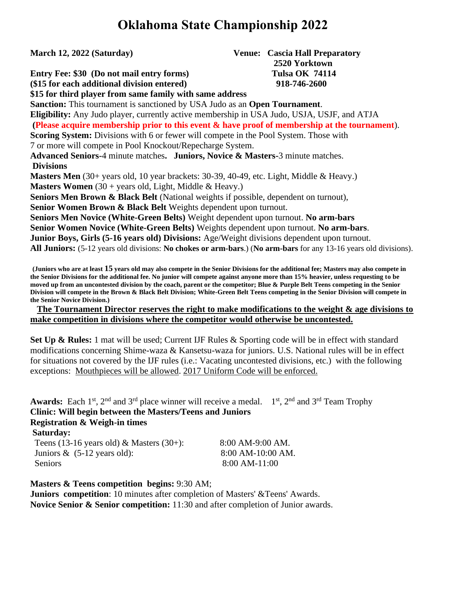# **Oklahoma State Championship 2022**

**March 12, 2022 (Saturday) Venue: Cascia Hall Preparatory 2520 Yorktown Entry Fee: \$30 (Do not mail entry forms) Tulsa OK 74114**

**(\$15 for each additional division entered) 918-746-2600**

**\$15 for third player from same family with same address**

**Sanction:** This tournament is sanctioned by USA Judo as an **Open Tournament**. **Eligibility:** Any Judo player, currently active membership in USA Judo, USJA, USJF, and ATJA **(Please acquire membership prior to this event & have proof of membership at the tournament**). **Scoring System:** Divisions with 6 or fewer will compete in the Pool System. Those with 7 or more will compete in Pool Knockout/Repecharge System. **Advanced Seniors-**4 minute matches**. Juniors, Novice & Masters-**3 minute matches. **Divisions Masters Men** (30+ years old, 10 year brackets: 30-39, 40-49, etc. Light, Middle & Heavy.) **Masters Women** (30 + years old, Light, Middle & Heavy.) **Seniors Men Brown & Black Belt** (National weights if possible, dependent on turnout), **Senior Women Brown & Black Belt** Weights dependent upon turnout. **Seniors Men Novice (White-Green Belts)** Weight dependent upon turnout. **No arm-bars Senior Women Novice (White-Green Belts)** Weights dependent upon turnout. **No arm-bars**. **Junior Boys, Girls (5-16 years old) Divisions:** Age/Weight divisions dependent upon turnout. **All Juniors:** (5-12 years old divisions: **No chokes or arm-bars**.) (**No arm-bars** for any 13-16 years old divisions).

**(Juniors who are at least 15 years old may also compete in the Senior Divisions for the additional fee; Masters may also compete in the Senior Divisions for the additional fee. No junior will compete against anyone more than 15% heavier, unless requesting to be moved up from an uncontested division by the coach, parent or the competitor; Blue & Purple Belt Teens competing in the Senior Division will compete in the Brown & Black Belt Division; White-Green Belt Teens competing in the Senior Division will compete in the Senior Novice Division.)**

 **The Tournament Director reserves the right to make modifications to the weight & age divisions to make competition in divisions where the competitor would otherwise be uncontested.** 

**Set Up & Rules:** 1 mat will be used; Current IJF Rules & Sporting code will be in effect with standard modifications concerning Shime-waza  $\&$  Kansetsu-waza for juniors. U.S. National rules will be in effect for situations not covered by the IJF rules (i.e.: Vacating uncontested divisions, etc.) with the following exceptions: Mouthpieces will be allowed. 2017 Uniform Code will be enforced.

**Awards:** Each  $1^{st}$ ,  $2^{nd}$  and  $3^{rd}$  place winner will receive a medal.  $1^{st}$ ,  $2^{nd}$  and  $3^{rd}$  Team Trophy **Clinic: Will begin between the Masters/Teens and Juniors Registration & Weigh-in times Saturday:** Teens (13-16 years old) & Masters (30+): 8:00 AM-9:00 AM. Juniors & (5-12 years old): 8:00 AM-10:00 AM.

Seniors 8:00 AM-11:00

**Masters & Teens competition begins:** 9:30 AM;

**Juniors competition**: 10 minutes after completion of Masters' &Teens' Awards. **Novice Senior & Senior competition:** 11:30 and after completion of Junior awards.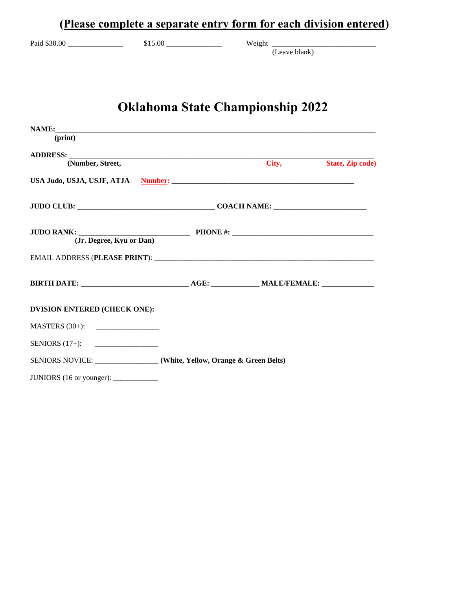|                              | (Please complete a separate entry form for each division entered)                                                                                                                                                              |                                         |                         |  |
|------------------------------|--------------------------------------------------------------------------------------------------------------------------------------------------------------------------------------------------------------------------------|-----------------------------------------|-------------------------|--|
|                              |                                                                                                                                                                                                                                |                                         | (Leave blank)           |  |
|                              |                                                                                                                                                                                                                                | <b>Oklahoma State Championship 2022</b> |                         |  |
| (print)                      |                                                                                                                                                                                                                                |                                         |                         |  |
|                              | ADDRESS: North Contract of the Contract of the Contract of the Contract of the Contract of the Contract of the Contract of the Contract of the Contract of the Contract of the Contract of the Contract of the Contract of the |                                         |                         |  |
| (Number, Street,             |                                                                                                                                                                                                                                | City,                                   | <b>State, Zip code)</b> |  |
|                              |                                                                                                                                                                                                                                |                                         |                         |  |
|                              |                                                                                                                                                                                                                                |                                         |                         |  |
|                              | (Jr. Degree, Kyu or Dan)                                                                                                                                                                                                       |                                         |                         |  |
|                              |                                                                                                                                                                                                                                |                                         |                         |  |
|                              |                                                                                                                                                                                                                                |                                         |                         |  |
| DVISION ENTERED (CHECK ONE): |                                                                                                                                                                                                                                |                                         |                         |  |
| MASTERS $(30+)$ :            |                                                                                                                                                                                                                                |                                         |                         |  |
| SENIORS $(17+)$ :            |                                                                                                                                                                                                                                |                                         |                         |  |
|                              | SENIORS NOVICE: ______________(White, Yellow, Orange & Green Belts)                                                                                                                                                            |                                         |                         |  |
|                              |                                                                                                                                                                                                                                |                                         |                         |  |